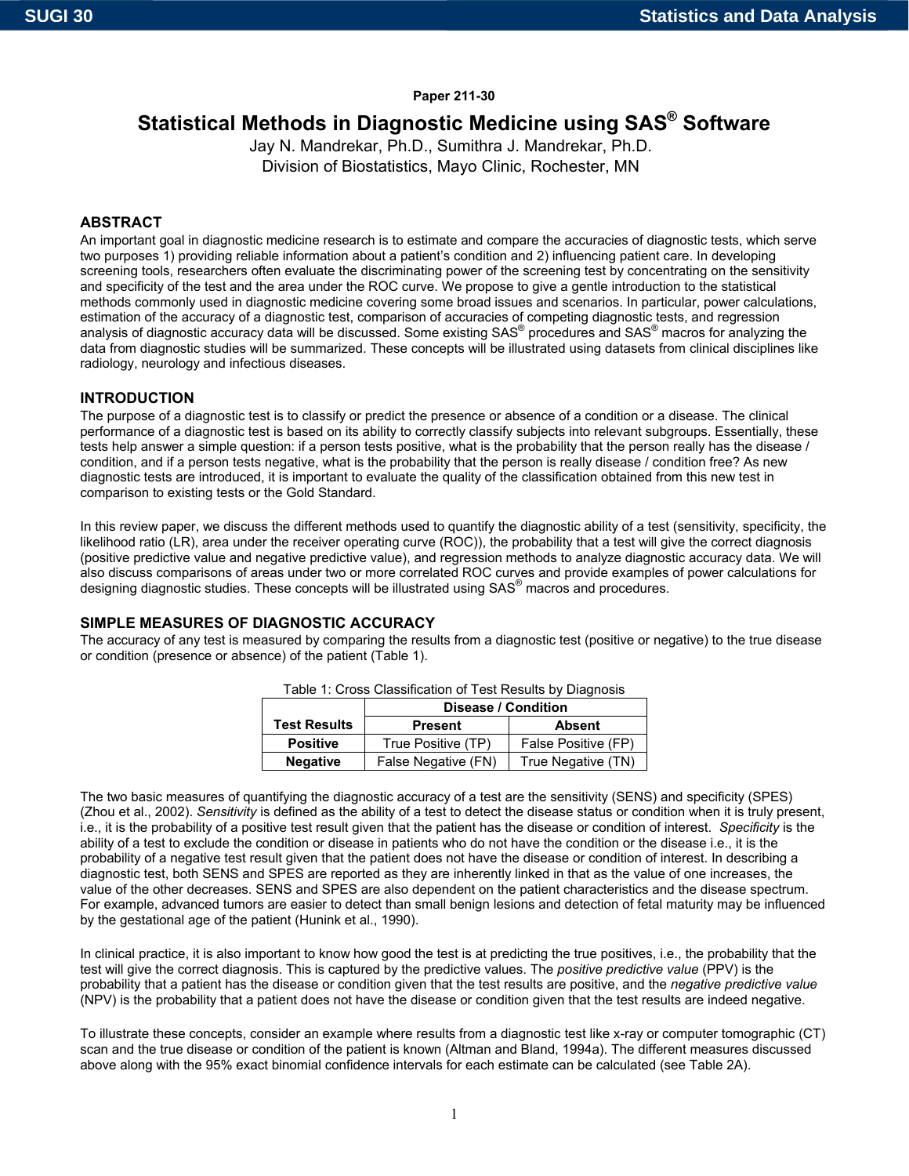## **Paper 211-30**

# **Statistical Methods in Diagnostic Medicine using SAS® Software**

Jay N. Mandrekar, Ph.D., Sumithra J. Mandrekar, Ph.D. Division of Biostatistics, Mayo Clinic, Rochester, MN

## **ABSTRACT**

An important goal in diagnostic medicine research is to estimate and compare the accuracies of diagnostic tests, which serve two purposes 1) providing reliable information about a patient's condition and 2) influencing patient care. In developing screening tools, researchers often evaluate the discriminating power of the screening test by concentrating on the sensitivity and specificity of the test and the area under the ROC curve. We propose to give a gentle introduction to the statistical methods commonly used in diagnostic medicine covering some broad issues and scenarios. In particular, power calculations, estimation of the accuracy of a diagnostic test, comparison of accuracies of competing diagnostic tests, and regression analysis of diagnostic accuracy data will be discussed. Some existing SAS® procedures and SAS® macros for analyzing the data from diagnostic studies will be summarized. These concepts will be illustrated using datasets from clinical disciplines like radiology, neurology and infectious diseases.

## **INTRODUCTION**

The purpose of a diagnostic test is to classify or predict the presence or absence of a condition or a disease. The clinical performance of a diagnostic test is based on its ability to correctly classify subjects into relevant subgroups. Essentially, these tests help answer a simple question: if a person tests positive, what is the probability that the person really has the disease / condition, and if a person tests negative, what is the probability that the person is really disease / condition free? As new diagnostic tests are introduced, it is important to evaluate the quality of the classification obtained from this new test in comparison to existing tests or the Gold Standard.

In this review paper, we discuss the different methods used to quantify the diagnostic ability of a test (sensitivity, specificity, the likelihood ratio (LR), area under the receiver operating curve (ROC)), the probability that a test will give the correct diagnosis (positive predictive value and negative predictive value), and regression methods to analyze diagnostic accuracy data. We will also discuss comparisons of areas under two or more correlated ROC curves and provide examples of power calculations for designing diagnostic studies. These concepts will be illustrated using SAS® macros and procedures.

## **SIMPLE MEASURES OF DIAGNOSTIC ACCURACY**

The accuracy of any test is measured by comparing the results from a diagnostic test (positive or negative) to the true disease or condition (presence or absence) of the patient (Table 1).

| Table 1: Cross Classification of Test Results by Diagnosis |                     |                     |  |
|------------------------------------------------------------|---------------------|---------------------|--|
|                                                            | Disease / Condition |                     |  |
| <b>Test Results</b>                                        | <b>Present</b>      | <b>Absent</b>       |  |
| <b>Positive</b>                                            | True Positive (TP)  | False Positive (FP) |  |
| <b>Negative</b>                                            | False Negative (FN) | True Negative (TN)  |  |

Table 1: Cross Classification of Test Results by Diagnosis

The two basic measures of quantifying the diagnostic accuracy of a test are the sensitivity (SENS) and specificity (SPES) (Zhou et al., 2002). *Sensitivity* is defined as the ability of a test to detect the disease status or condition when it is truly present, i.e., it is the probability of a positive test result given that the patient has the disease or condition of interest. *Specificity* is the ability of a test to exclude the condition or disease in patients who do not have the condition or the disease i.e., it is the probability of a negative test result given that the patient does not have the disease or condition of interest. In describing a diagnostic test, both SENS and SPES are reported as they are inherently linked in that as the value of one increases, the value of the other decreases. SENS and SPES are also dependent on the patient characteristics and the disease spectrum. For example, advanced tumors are easier to detect than small benign lesions and detection of fetal maturity may be influenced by the gestational age of the patient (Hunink et al., 1990).

In clinical practice, it is also important to know how good the test is at predicting the true positives, i.e., the probability that the test will give the correct diagnosis. This is captured by the predictive values. The *positive predictive value* (PPV) is the probability that a patient has the disease or condition given that the test results are positive, and the *negative predictive value* (NPV) is the probability that a patient does not have the disease or condition given that the test results are indeed negative.

To illustrate these concepts, consider an example where results from a diagnostic test like x-ray or computer tomographic (CT) scan and the true disease or condition of the patient is known (Altman and Bland, 1994a). The different measures discussed above along with the 95% exact binomial confidence intervals for each estimate can be calculated (see Table 2A).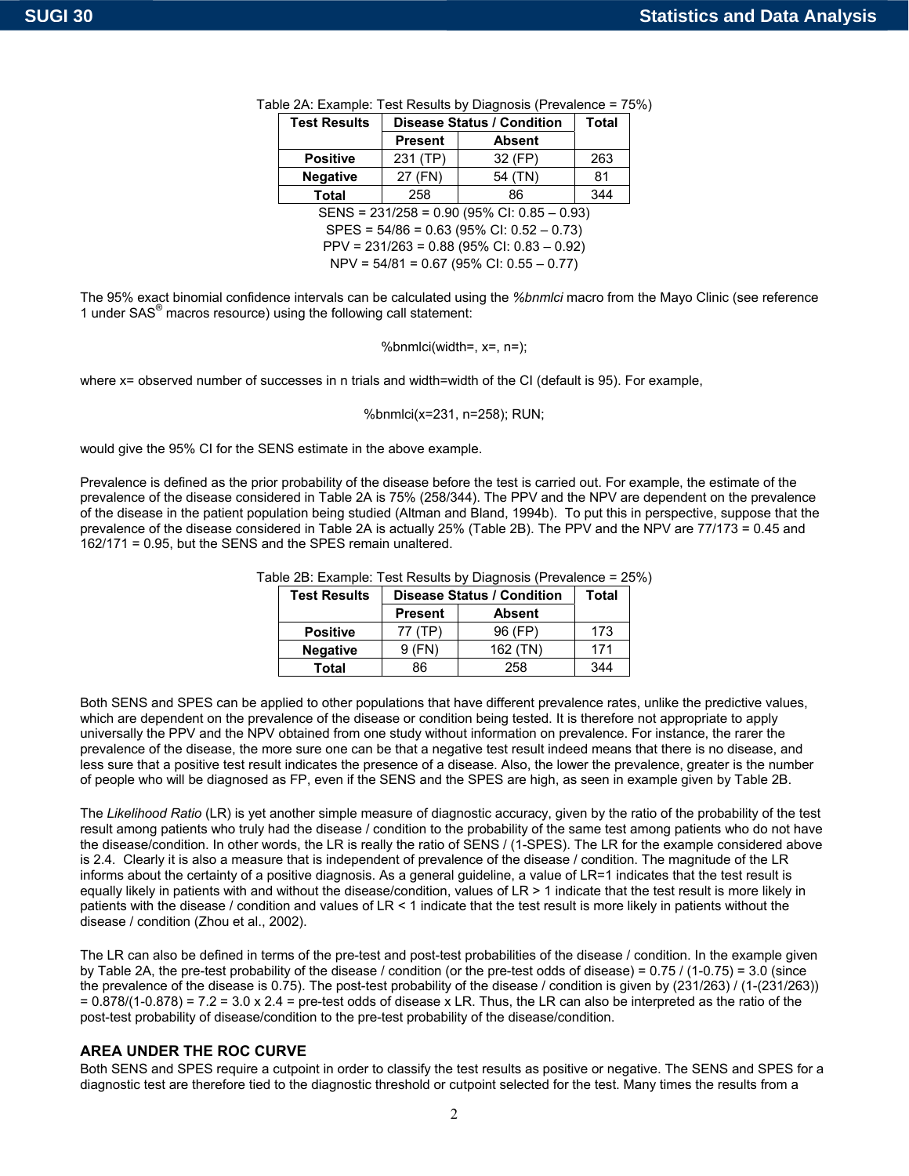| <b>Test Results</b>                          | <b>Disease Status / Condition</b> | <b>Total</b>  |     |  |  |
|----------------------------------------------|-----------------------------------|---------------|-----|--|--|
|                                              | <b>Present</b>                    | <b>Absent</b> |     |  |  |
| 231 (TP)<br>32 (FP)<br><b>Positive</b>       |                                   |               |     |  |  |
| 27 (FN)<br>54 (TN)<br><b>Negative</b>        |                                   |               |     |  |  |
| <b>Total</b>                                 | 258                               | 86            | 344 |  |  |
| SENS = 231/258 = 0.90 (95% CI: 0.85 - 0.93)  |                                   |               |     |  |  |
| $SPES = 54/86 = 0.63 (95\% CI: 0.52 - 0.73)$ |                                   |               |     |  |  |
| PPV = 231/263 = 0.88 (95% CI: 0.83 - 0.92)   |                                   |               |     |  |  |
| $NPV = 54/81 = 0.67 (95\% CI: 0.55 - 0.77)$  |                                   |               |     |  |  |

|  |  |  |  | Table 2A: Example: Test Results by Diagnosis (Prevalence = 75%) |  |
|--|--|--|--|-----------------------------------------------------------------|--|
|--|--|--|--|-----------------------------------------------------------------|--|

The 95% exact binomial confidence intervals can be calculated using the *%bnmlci* macro from the Mayo Clinic (see reference 1 under SAS<sup>®</sup> macros resource) using the following call statement:

$$
\% \text{bnm} \text{lci} (\text{width} =, \text{x} =, \text{n} =);
$$

where x= observed number of successes in n trials and width=width of the CI (default is 95). For example,

%bnmlci(x=231, n=258); RUN;

would give the 95% CI for the SENS estimate in the above example.

Prevalence is defined as the prior probability of the disease before the test is carried out. For example, the estimate of the prevalence of the disease considered in Table 2A is 75% (258/344). The PPV and the NPV are dependent on the prevalence of the disease in the patient population being studied (Altman and Bland, 1994b). To put this in perspective, suppose that the prevalence of the disease considered in Table 2A is actually 25% (Table 2B). The PPV and the NPV are 77/173 = 0.45 and 162/171 = 0.95, but the SENS and the SPES remain unaltered.

| <b>Test Results</b> | <b>Disease Status / Condition</b> | Total         |     |
|---------------------|-----------------------------------|---------------|-----|
|                     | <b>Present</b>                    | <b>Absent</b> |     |
| <b>Positive</b>     |                                   | 96 (FP)       | 173 |
| <b>Negative</b>     | 9(FN)                             | 162(TN)       | 171 |

**Total** 86 258 344

Table 2B: Example: Test Results by Diagnosis (Prevalence = 25%)

Both SENS and SPES can be applied to other populations that have different prevalence rates, unlike the predictive values, which are dependent on the prevalence of the disease or condition being tested. It is therefore not appropriate to apply universally the PPV and the NPV obtained from one study without information on prevalence. For instance, the rarer the prevalence of the disease, the more sure one can be that a negative test result indeed means that there is no disease, and less sure that a positive test result indicates the presence of a disease. Also, the lower the prevalence, greater is the number of people who will be diagnosed as FP, even if the SENS and the SPES are high, as seen in example given by Table 2B.

The *Likelihood Ratio* (LR) is yet another simple measure of diagnostic accuracy, given by the ratio of the probability of the test result among patients who truly had the disease / condition to the probability of the same test among patients who do not have the disease/condition. In other words, the LR is really the ratio of SENS / (1-SPES). The LR for the example considered above is 2.4. Clearly it is also a measure that is independent of prevalence of the disease / condition. The magnitude of the LR informs about the certainty of a positive diagnosis. As a general guideline, a value of LR=1 indicates that the test result is equally likely in patients with and without the disease/condition, values of LR > 1 indicate that the test result is more likely in patients with the disease / condition and values of LR < 1 indicate that the test result is more likely in patients without the disease / condition (Zhou et al., 2002).

The LR can also be defined in terms of the pre-test and post-test probabilities of the disease / condition. In the example given by Table 2A, the pre-test probability of the disease / condition (or the pre-test odds of disease) = 0.75 / (1-0.75) = 3.0 (since the prevalence of the disease is 0.75). The post-test probability of the disease / condition is given by (231/263) / (1-(231/263))  $= 0.878/(1-0.878) = 7.2 = 3.0 \times 2.4 =$  pre-test odds of disease x LR. Thus, the LR can also be interpreted as the ratio of the post-test probability of disease/condition to the pre-test probability of the disease/condition.

#### **AREA UNDER THE ROC CURVE**

Both SENS and SPES require a cutpoint in order to classify the test results as positive or negative. The SENS and SPES for a diagnostic test are therefore tied to the diagnostic threshold or cutpoint selected for the test. Many times the results from a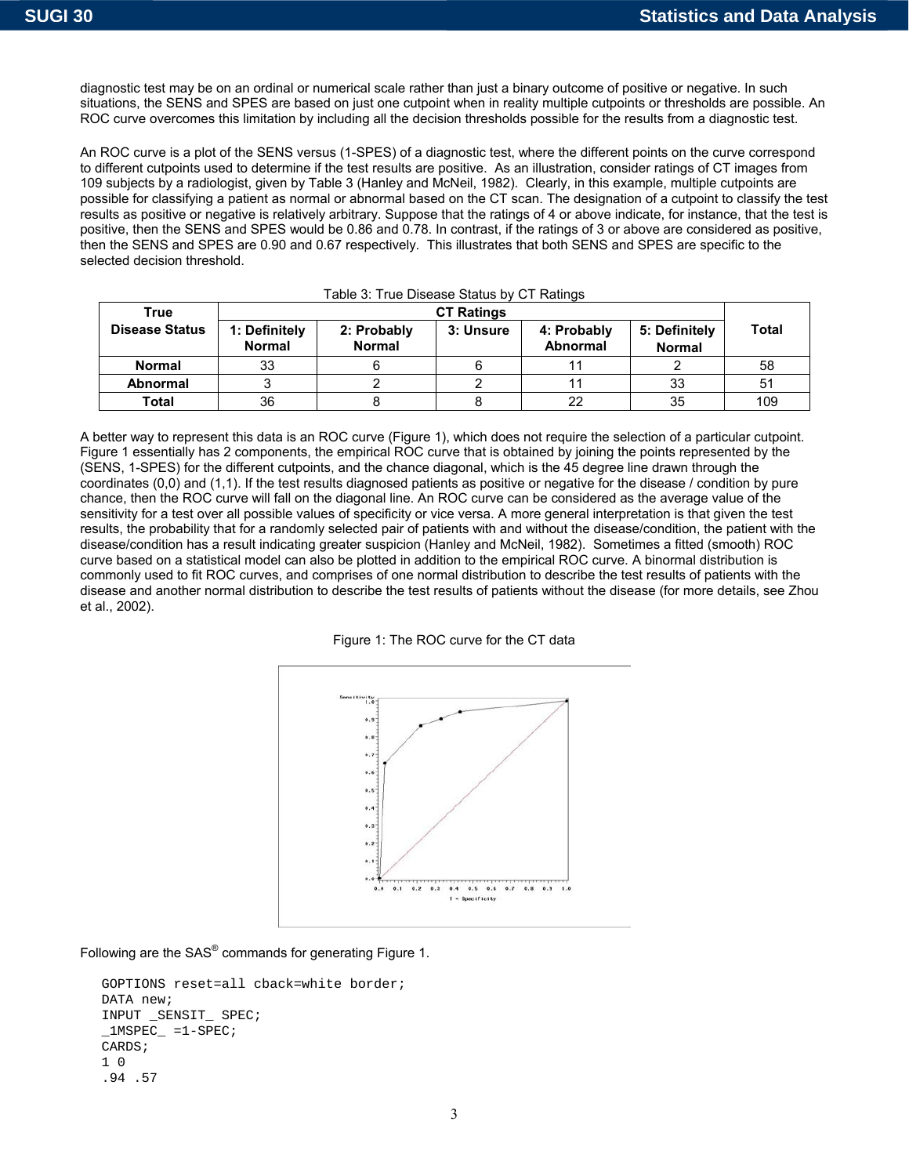et al., 2002).

diagnostic test may be on an ordinal or numerical scale rather than just a binary outcome of positive or negative. In such situations, the SENS and SPES are based on just one cutpoint when in reality multiple cutpoints or thresholds are possible. An ROC curve overcomes this limitation by including all the decision thresholds possible for the results from a diagnostic test.

An ROC curve is a plot of the SENS versus (1-SPES) of a diagnostic test, where the different points on the curve correspond to different cutpoints used to determine if the test results are positive. As an illustration, consider ratings of CT images from 109 subjects by a radiologist, given by Table 3 (Hanley and McNeil, 1982). Clearly, in this example, multiple cutpoints are possible for classifying a patient as normal or abnormal based on the CT scan. The designation of a cutpoint to classify the test results as positive or negative is relatively arbitrary. Suppose that the ratings of 4 or above indicate, for instance, that the test is positive, then the SENS and SPES would be 0.86 and 0.78. In contrast, if the ratings of 3 or above are considered as positive, then the SENS and SPES are 0.90 and 0.67 respectively. This illustrates that both SENS and SPES are specific to the selected decision threshold.

| Table 3: True Disease Status by CT Ratings |                                |                              |           |                                |                                |       |
|--------------------------------------------|--------------------------------|------------------------------|-----------|--------------------------------|--------------------------------|-------|
| True                                       | <b>CT Ratings</b>              |                              |           |                                |                                |       |
| <b>Disease Status</b>                      | 1: Definitely<br><b>Normal</b> | 2: Probably<br><b>Normal</b> | 3: Unsure | 4: Probably<br><b>Abnormal</b> | 5: Definitely<br><b>Normal</b> | Total |
| <b>Normal</b>                              | 33                             |                              |           |                                |                                | 58    |
| <b>Abnormal</b>                            |                                |                              |           |                                | 33                             | 51    |
| Total                                      | 36                             |                              |           | 22                             | 35                             | 109   |

A better way to represent this data is an ROC curve (Figure 1), which does not require the selection of a particular cutpoint. Figure 1 essentially has 2 components, the empirical ROC curve that is obtained by joining the points represented by the (SENS, 1-SPES) for the different cutpoints, and the chance diagonal, which is the 45 degree line drawn through the coordinates (0,0) and (1,1). If the test results diagnosed patients as positive or negative for the disease / condition by pure chance, then the ROC curve will fall on the diagonal line. An ROC curve can be considered as the average value of the sensitivity for a test over all possible values of specificity or vice versa. A more general interpretation is that given the test results, the probability that for a randomly selected pair of patients with and without the disease/condition, the patient with the disease/condition has a result indicating greater suspicion (Hanley and McNeil, 1982). Sometimes a fitted (smooth) ROC curve based on a statistical model can also be plotted in addition to the empirical ROC curve. A binormal distribution is commonly used to fit ROC curves, and comprises of one normal distribution to describe the test results of patients with the disease and another normal distribution to describe the test results of patients without the disease (for more details, see Zhou

Figure 1: The ROC curve for the CT data



Following are the SAS $^{\circ}$  commands for generating Figure 1.

```
GOPTIONS reset=all cback=white border; 
DATA new; 
INPUT _SENSIT_ SPEC; 
IMSPEC = 1-SPEC;
CARDS;
1 0 
.94 .57
```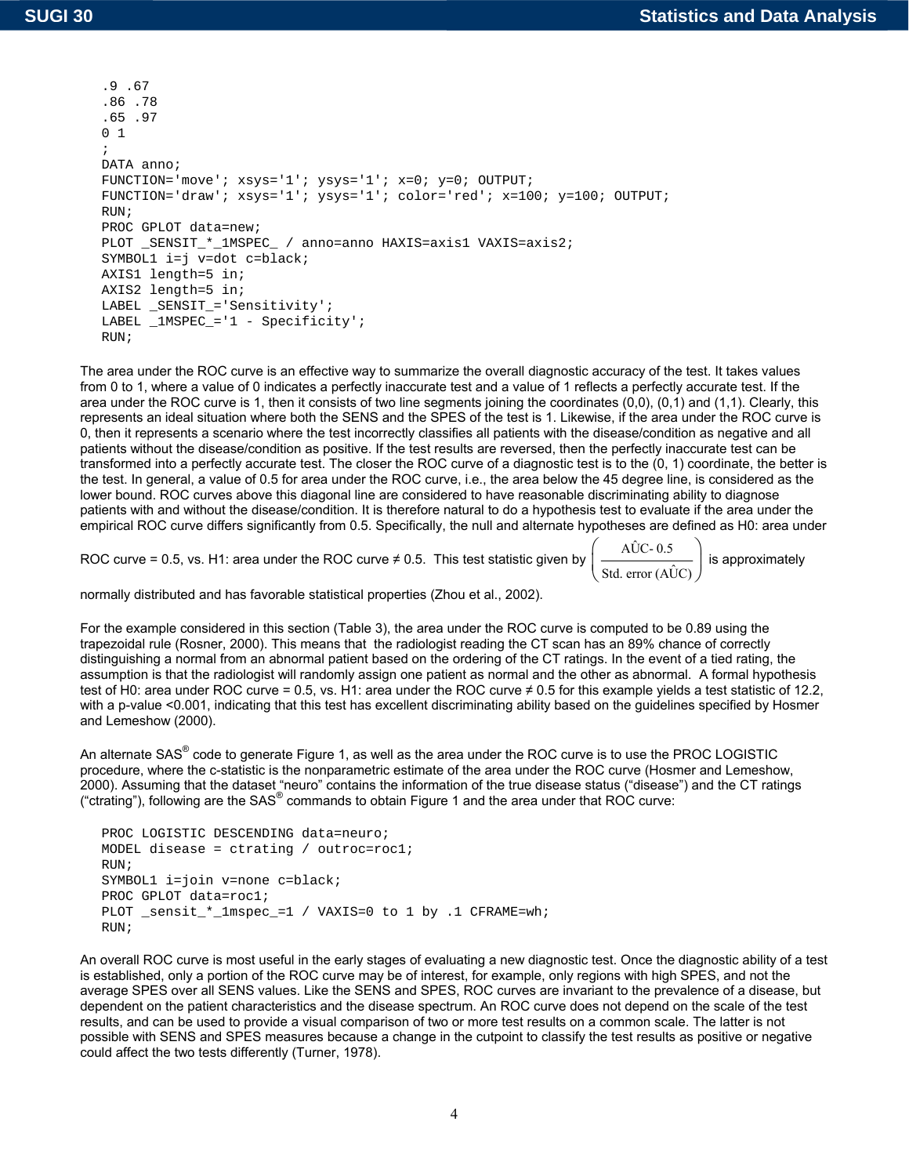```
.9 .67 
.86 .78 
.65 .97 
0 1 
; 
DATA anno; 
FUNCTION='move'; xsys='1'; ysys='1'; x=0; y=0; OUTPUT; 
FUNCTION='draw'; xsys='1'; ysys='1'; color='red'; x=100; y=100; OUTPUT; 
RIJN;
PROC GPLOT data=new; 
PLOT _SENSIT_*_1MSPEC_ / anno=anno HAXIS=axis1 VAXIS=axis2; 
SYMBOL1 i=j v=dot c=black; 
AXIS1 length=5 in; 
AXIS2 length=5 in; 
LABEL _SENSIT_='Sensitivity'; 
LABEL 1MSPEC = '1 - Specificity';
RUN;
```
The area under the ROC curve is an effective way to summarize the overall diagnostic accuracy of the test. It takes values from 0 to 1, where a value of 0 indicates a perfectly inaccurate test and a value of 1 reflects a perfectly accurate test. If the area under the ROC curve is 1, then it consists of two line segments joining the coordinates (0,0), (0,1) and (1,1). Clearly, this represents an ideal situation where both the SENS and the SPES of the test is 1. Likewise, if the area under the ROC curve is 0, then it represents a scenario where the test incorrectly classifies all patients with the disease/condition as negative and all patients without the disease/condition as positive. If the test results are reversed, then the perfectly inaccurate test can be transformed into a perfectly accurate test. The closer the ROC curve of a diagnostic test is to the (0, 1) coordinate, the better is the test. In general, a value of 0.5 for area under the ROC curve, i.e., the area below the 45 degree line, is considered as the lower bound. ROC curves above this diagonal line are considered to have reasonable discriminating ability to diagnose patients with and without the disease/condition. It is therefore natural to do a hypothesis test to evaluate if the area under the empirical ROC curve differs significantly from 0.5. Specifically, the null and alternate hypotheses are defined as H0: area under

ROC curve = 0.5, vs. H1: area under the ROC curve ≠ 0.5. This test statistic given by  $\begin{pmatrix} A\hat{U}C-0.5 \ \cdot & \cdot \end{pmatrix}$  $\left(\frac{A\hat{U}C \cdot 0.5}{\text{Std. error (A\hat{U}C)}}\right)$  is approximately

normally distributed and has favorable statistical properties (Zhou et al., 2002).

For the example considered in this section (Table 3), the area under the ROC curve is computed to be 0.89 using the trapezoidal rule (Rosner, 2000). This means that the radiologist reading the CT scan has an 89% chance of correctly distinguishing a normal from an abnormal patient based on the ordering of the CT ratings. In the event of a tied rating, the assumption is that the radiologist will randomly assign one patient as normal and the other as abnormal. A formal hypothesis test of H0: area under ROC curve = 0.5, vs. H1: area under the ROC curve ≠ 0.5 for this example yields a test statistic of 12.2, with a p-value <0.001, indicating that this test has excellent discriminating ability based on the guidelines specified by Hosmer and Lemeshow (2000).

An alternate SAS<sup>®</sup> code to generate Figure 1, as well as the area under the ROC curve is to use the PROC LOGISTIC procedure, where the c-statistic is the nonparametric estimate of the area under the ROC curve (Hosmer and Lemeshow, 2000). Assuming that the dataset "neuro" contains the information of the true disease status ("disease") and the CT ratings ("ctrating"), following are the SAS® commands to obtain Figure 1 and the area under that ROC curve:

```
PROC LOGISTIC DESCENDING data=neuro; 
MODEL disease = ctrating / outroc=roc1; 
RUN; 
SYMBOL1 i=join v=none c=black;
PROC GPLOT data=roc1; 
PLOT _sensit_*_1mspec_=1 / VAXIS=0 to 1 by .1 CFRAME=wh;
RIM;
```
An overall ROC curve is most useful in the early stages of evaluating a new diagnostic test. Once the diagnostic ability of a test is established, only a portion of the ROC curve may be of interest, for example, only regions with high SPES, and not the average SPES over all SENS values. Like the SENS and SPES, ROC curves are invariant to the prevalence of a disease, but dependent on the patient characteristics and the disease spectrum. An ROC curve does not depend on the scale of the test results, and can be used to provide a visual comparison of two or more test results on a common scale. The latter is not possible with SENS and SPES measures because a change in the cutpoint to classify the test results as positive or negative could affect the two tests differently (Turner, 1978).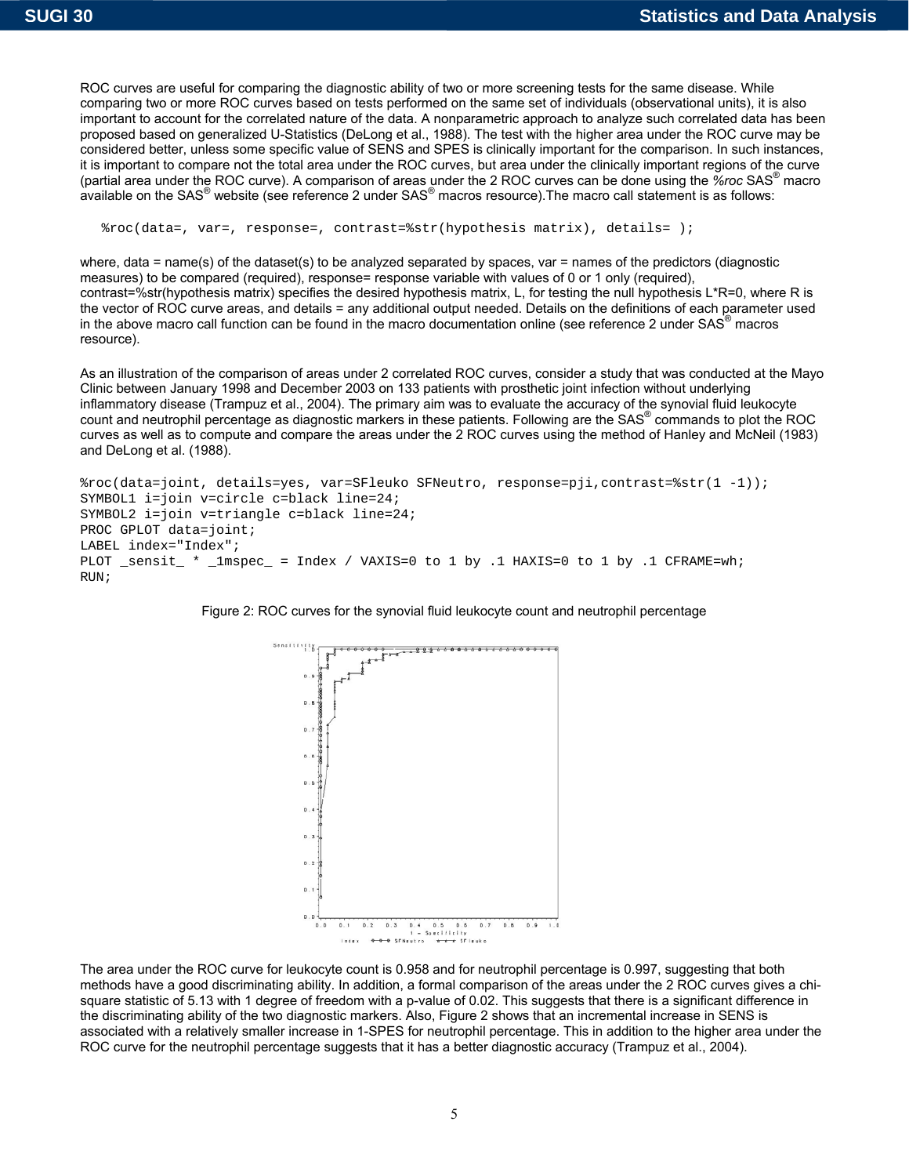ROC curves are useful for comparing the diagnostic ability of two or more screening tests for the same disease. While comparing two or more ROC curves based on tests performed on the same set of individuals (observational units), it is also important to account for the correlated nature of the data. A nonparametric approach to analyze such correlated data has been proposed based on generalized U-Statistics (DeLong et al., 1988). The test with the higher area under the ROC curve may be considered better, unless some specific value of SENS and SPES is clinically important for the comparison. In such instances, it is important to compare not the total area under the ROC curves, but area under the clinically important regions of the curve (partial area under the ROC curve). A comparison of areas under the 2 ROC curves can be done using the *%roc* SAS® macro available on the SAS<sup>®</sup> website (see reference 2 under SAS<sup>®</sup> macros resource). The macro call statement is as follows:

%roc(data=, var=, response=, contrast=%str(hypothesis matrix), details= );

where, data = name(s) of the dataset(s) to be analyzed separated by spaces, var = names of the predictors (diagnostic measures) to be compared (required), response= response variable with values of 0 or 1 only (required), contrast=%str(hypothesis matrix) specifies the desired hypothesis matrix, L, for testing the null hypothesis L\*R=0, where R is the vector of ROC curve areas, and details = any additional output needed. Details on the definitions of each parameter used in the above macro call function can be found in the macro documentation online (see reference 2 under SAS<sup>®</sup> macros resource).

As an illustration of the comparison of areas under 2 correlated ROC curves, consider a study that was conducted at the Mayo Clinic between January 1998 and December 2003 on 133 patients with prosthetic joint infection without underlying inflammatory disease (Trampuz et al., 2004). The primary aim was to evaluate the accuracy of the synovial fluid leukocyte count and neutrophil percentage as diagnostic markers in these patients. Following are the SAS® commands to plot the ROC curves as well as to compute and compare the areas under the 2 ROC curves using the method of Hanley and McNeil (1983) and DeLong et al. (1988).

%roc(data=joint, details=yes, var=SFleuko SFNeutro, response=pji,contrast=%str(1 -1)); SYMBOL1 i=join v=circle c=black line=24; SYMBOL2 i=join v=triangle c=black line=24; PROC GPLOT data=joint; LABEL index="Index"; PLOT \_sensit\_ \* \_1mspec\_ = Index / VAXIS=0 to 1 by .1 HAXIS=0 to 1 by .1 CFRAME=wh; RUN;





The area under the ROC curve for leukocyte count is 0.958 and for neutrophil percentage is 0.997, suggesting that both methods have a good discriminating ability. In addition, a formal comparison of the areas under the 2 ROC curves gives a chisquare statistic of 5.13 with 1 degree of freedom with a p-value of 0.02. This suggests that there is a significant difference in the discriminating ability of the two diagnostic markers. Also, Figure 2 shows that an incremental increase in SENS is associated with a relatively smaller increase in 1-SPES for neutrophil percentage. This in addition to the higher area under the ROC curve for the neutrophil percentage suggests that it has a better diagnostic accuracy (Trampuz et al., 2004).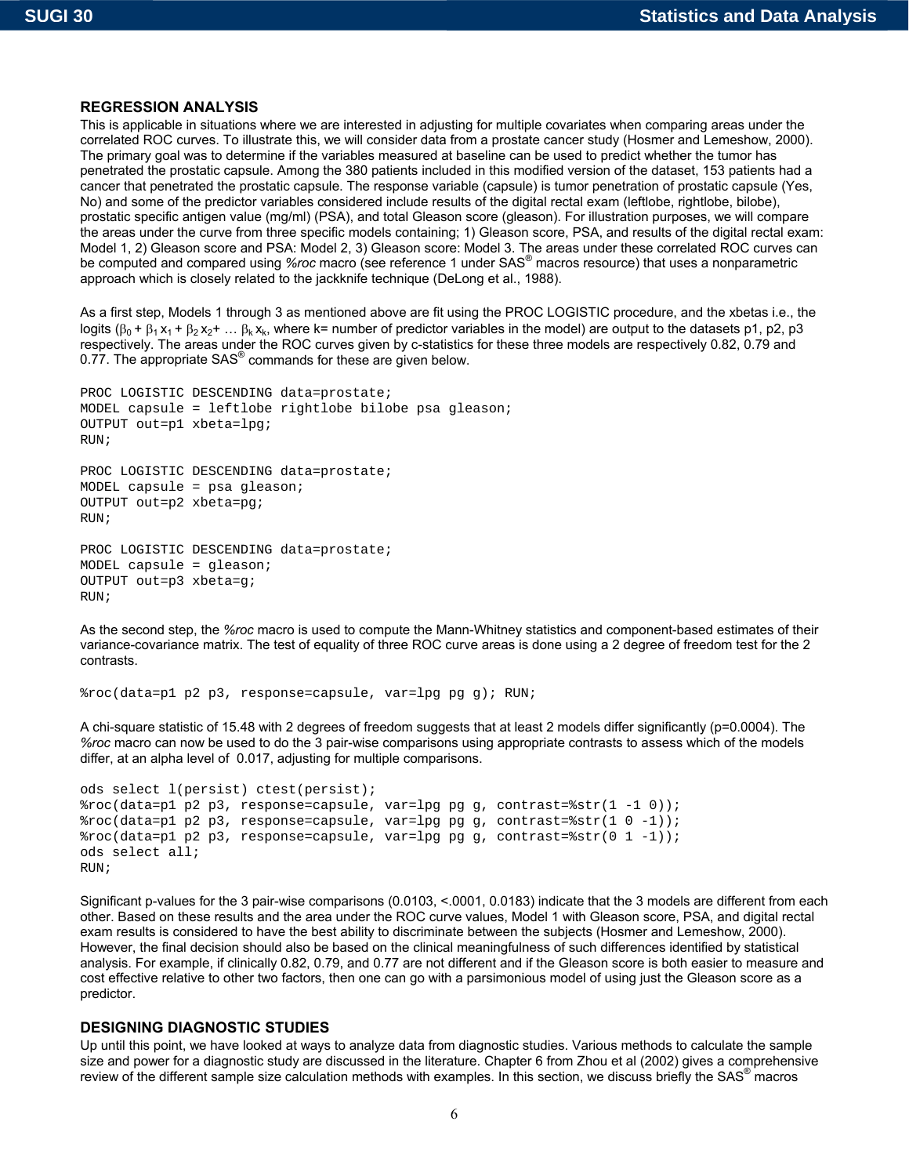RUN;

## **REGRESSION ANALYSIS**

This is applicable in situations where we are interested in adjusting for multiple covariates when comparing areas under the correlated ROC curves. To illustrate this, we will consider data from a prostate cancer study (Hosmer and Lemeshow, 2000). The primary goal was to determine if the variables measured at baseline can be used to predict whether the tumor has penetrated the prostatic capsule. Among the 380 patients included in this modified version of the dataset, 153 patients had a cancer that penetrated the prostatic capsule. The response variable (capsule) is tumor penetration of prostatic capsule (Yes, No) and some of the predictor variables considered include results of the digital rectal exam (leftlobe, rightlobe, bilobe), prostatic specific antigen value (mg/ml) (PSA), and total Gleason score (gleason). For illustration purposes, we will compare the areas under the curve from three specific models containing; 1) Gleason score, PSA, and results of the digital rectal exam: Model 1, 2) Gleason score and PSA: Model 2, 3) Gleason score: Model 3. The areas under these correlated ROC curves can be computed and compared using *%roc* macro (see reference 1 under SAS® macros resource) that uses a nonparametric approach which is closely related to the jackknife technique (DeLong et al., 1988).

As a first step, Models 1 through 3 as mentioned above are fit using the PROC LOGISTIC procedure, and the xbetas i.e., the logits  $(β_0 + β_1 x_1 + β_2 x_2 + ... β_k x_k)$ , where k= number of predictor variables in the model) are output to the datasets p1, p2, p3 respectively. The areas under the ROC curves given by c-statistics for these three models are respectively 0.82, 0.79 and 0.77. The appropriate SAS<sup>®</sup> commands for these are given below.

```
PROC LOGISTIC DESCENDING data=prostate; 
MODEL capsule = leftlobe rightlobe bilobe psa gleason; 
OUTPUT out=p1 xbeta=lpg; 
RUN; 
PROC LOGISTIC DESCENDING data=prostate; 
MODEL capsule = psa gleason; 
OUTPUT out=p2 xbeta=pg; 
RUN; 
PROC LOGISTIC DESCENDING data=prostate; 
MODEL capsule = gleason; 
OUTPUT out=p3 xbeta=g;
```
As the second step, the *%roc* macro is used to compute the Mann-Whitney statistics and component-based estimates of their variance-covariance matrix. The test of equality of three ROC curve areas is done using a 2 degree of freedom test for the 2 contrasts.

```
%roc(data=p1 p2 p3, response=capsule, var=lpg pg g); RUN;
```
A chi-square statistic of 15.48 with 2 degrees of freedom suggests that at least 2 models differ significantly (p=0.0004). The *%roc* macro can now be used to do the 3 pair-wise comparisons using appropriate contrasts to assess which of the models differ, at an alpha level of 0.017, adjusting for multiple comparisons.

```
ods select l(persist) ctest(persist); 
%roc(data=p1 p2 p3, response=capsule, var=lpg pg g, contrast=%str(1 -1 0)); 
%roc(data=p1 p2 p3, response=capsule, var=lpg pg g, contrast=%str(1 0 -1)); 
%roc(data=p1 p2 p3, response=capsule, var=lpg pg g, contrast=%str(0 1 -1)); 
ods select all; 
RUN;
```
Significant p-values for the 3 pair-wise comparisons (0.0103, <.0001, 0.0183) indicate that the 3 models are different from each other. Based on these results and the area under the ROC curve values, Model 1 with Gleason score, PSA, and digital rectal exam results is considered to have the best ability to discriminate between the subjects (Hosmer and Lemeshow, 2000). However, the final decision should also be based on the clinical meaningfulness of such differences identified by statistical analysis. For example, if clinically 0.82, 0.79, and 0.77 are not different and if the Gleason score is both easier to measure and cost effective relative to other two factors, then one can go with a parsimonious model of using just the Gleason score as a predictor.

## **DESIGNING DIAGNOSTIC STUDIES**

Up until this point, we have looked at ways to analyze data from diagnostic studies. Various methods to calculate the sample size and power for a diagnostic study are discussed in the literature. Chapter 6 from Zhou et al (2002) gives a comprehensive review of the different sample size calculation methods with examples. In this section, we discuss briefly the SAS<sup>®</sup> macros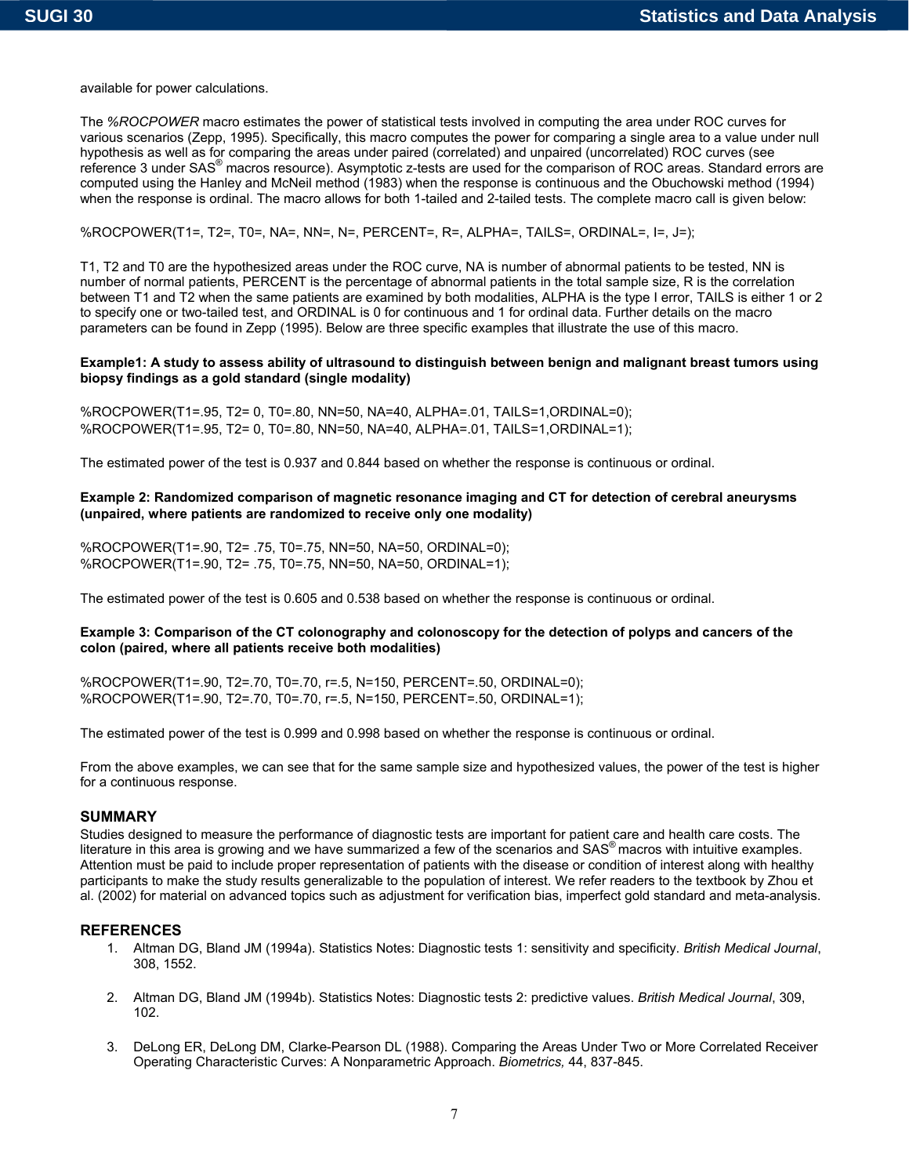available for power calculations.

The *%ROCPOWER* macro estimates the power of statistical tests involved in computing the area under ROC curves for various scenarios (Zepp, 1995). Specifically, this macro computes the power for comparing a single area to a value under null hypothesis as well as for comparing the areas under paired (correlated) and unpaired (uncorrelated) ROC curves (see reference 3 under SAS<sup>®</sup> macros resource). Asymptotic z-tests are used for the comparison of ROC areas. Standard errors are computed using the Hanley and McNeil method (1983) when the response is continuous and the Obuchowski method (1994) when the response is ordinal. The macro allows for both 1-tailed and 2-tailed tests. The complete macro call is given below:

#### %ROCPOWER(T1=, T2=, T0=, NA=, NN=, N=, PERCENT=, R=, ALPHA=, TAILS=, ORDINAL=, I=, J=);

T1, T2 and T0 are the hypothesized areas under the ROC curve, NA is number of abnormal patients to be tested, NN is number of normal patients, PERCENT is the percentage of abnormal patients in the total sample size, R is the correlation between T1 and T2 when the same patients are examined by both modalities, ALPHA is the type I error, TAILS is either 1 or 2 to specify one or two-tailed test, and ORDINAL is 0 for continuous and 1 for ordinal data. Further details on the macro parameters can be found in Zepp (1995). Below are three specific examples that illustrate the use of this macro.

#### **Example1: A study to assess ability of ultrasound to distinguish between benign and malignant breast tumors using biopsy findings as a gold standard (single modality)**

%ROCPOWER(T1=.95, T2= 0, T0=.80, NN=50, NA=40, ALPHA=.01, TAILS=1,ORDINAL=0); %ROCPOWER(T1=.95, T2= 0, T0=.80, NN=50, NA=40, ALPHA=.01, TAILS=1,ORDINAL=1);

The estimated power of the test is 0.937 and 0.844 based on whether the response is continuous or ordinal.

#### **Example 2: Randomized comparison of magnetic resonance imaging and CT for detection of cerebral aneurysms (unpaired, where patients are randomized to receive only one modality)**

%ROCPOWER(T1=.90, T2= .75, T0=.75, NN=50, NA=50, ORDINAL=0); %ROCPOWER(T1=.90, T2= .75, T0=.75, NN=50, NA=50, ORDINAL=1);

The estimated power of the test is 0.605 and 0.538 based on whether the response is continuous or ordinal.

#### **Example 3: Comparison of the CT colonography and colonoscopy for the detection of polyps and cancers of the colon (paired, where all patients receive both modalities)**

%ROCPOWER(T1=.90, T2=.70, T0=.70, r=.5, N=150, PERCENT=.50, ORDINAL=0); %ROCPOWER(T1=.90, T2=.70, T0=.70, r=.5, N=150, PERCENT=.50, ORDINAL=1);

The estimated power of the test is 0.999 and 0.998 based on whether the response is continuous or ordinal.

From the above examples, we can see that for the same sample size and hypothesized values, the power of the test is higher for a continuous response.

## **SUMMARY**

Studies designed to measure the performance of diagnostic tests are important for patient care and health care costs. The literature in this area is growing and we have summarized a few of the scenarios and  $SAS<sup>®</sup>$  macros with intuitive examples. Attention must be paid to include proper representation of patients with the disease or condition of interest along with healthy participants to make the study results generalizable to the population of interest. We refer readers to the textbook by Zhou et al. (2002) for material on advanced topics such as adjustment for verification bias, imperfect gold standard and meta-analysis.

## **REFERENCES**

- 1. Altman DG, Bland JM (1994a). Statistics Notes: Diagnostic tests 1: sensitivity and specificity. *British Medical Journal*, 308, 1552.
- 2. Altman DG, Bland JM (1994b). Statistics Notes: Diagnostic tests 2: predictive values. *British Medical Journal*, 309, 102.
- 3. DeLong ER, DeLong DM, Clarke-Pearson DL (1988). Comparing the Areas Under Two or More Correlated Receiver Operating Characteristic Curves: A Nonparametric Approach. *Biometrics,* 44, 837-845.